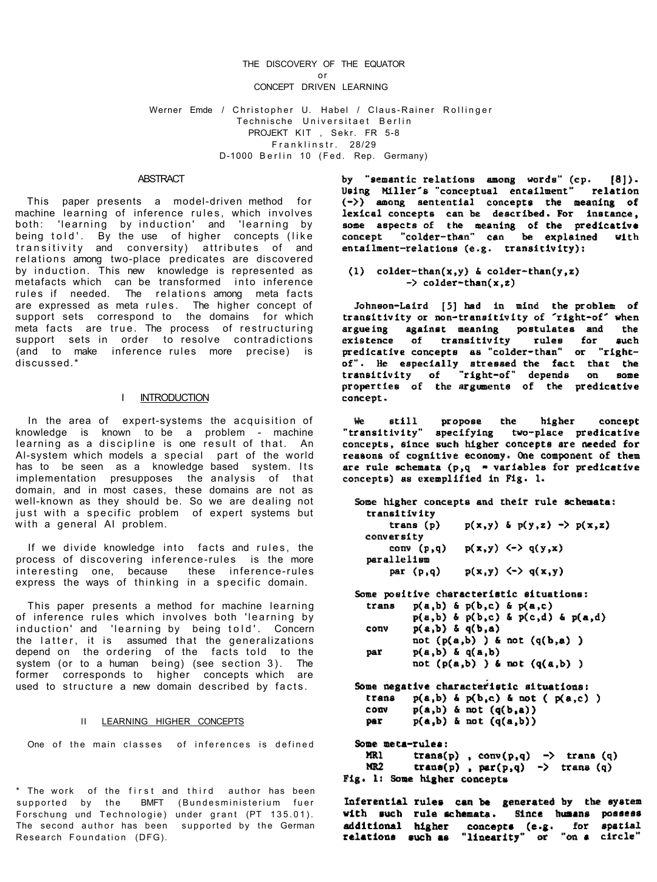### THE DISCOVERY OF THE EQUATOR

or

CONCEPT DRIVEN LEARNING

Werner Emde / Christopher U. Habel / Claus-Rainer Rollinger Technische Universitaet Berlin PROJEKT KIT , Sekr. FR 5-8 Franklinstr. 28/29 D-1000 Berlin 10 (Fed. Rep. Germany)

#### ABSTRACT

This paper presents a model-driven method for machine learning of inference rules, which involves both: 'learning by induction' and 'learning by being told'. By the use of higher concepts (like transitivity and conversity) attributes of and relations among two-place predicates are discovered by induction. This new knowledge is represented as metafacts which can be transformed into inference rules if needed. The relations among meta facts are expressed as meta rules . The higher concept of support sets correspond to the domains for which meta facts are true. The process of restructuring support sets in order to resolve contradictions (and to make inference rules more precise) is discussed.\*

# I INTRODUCTION

In the area of expert-systems the acquisition of knowledge is known to be a problem - machine learning as a discipline is one result of that. An Al-system which models a special part of the world has to be seen as a knowledge based system. Its implementation presupposes the analysis of that domain, and in most cases, these domains are not as well-known as they should be. So we are dealing not just with a specific problem of expert systems but with a general AI problem.

If we divide knowledge into facts and rules, the process of discovering inference-rules is the more interesting one, because these inference-rules express the ways of thinking in a specific domain.

This paper presents a method for machine learning of inference rules which involves both 'learning by induction' and 'learning by being told'. Concern the latter, it is assumed that the generalizations depend on the ordering of the facts told to the system (or to a human being) (see section 3). The former corresponds to higher concepts which are used to structure a new domain described by facts.

# II LEARNING HIGHER CONCEPTS

One of the main classes of inferences is defined

\* The work of the first and third author has been supported by the BMFT (Bundesministerium fuer Forschung und Technologie) under grant (PT 135.01). The second author has been supported by the German Research Foundation (DFG).

by "semantic relations among words" (cp.  $(81)$ . Using Miller's "conceptual entailment" relation  $(-)$  among sentential concepts the meaning of lexical concepts can be described. For instance, some aspects of the meaning of the predicative concept "colder-than" can be explained with entailment-relations (e.g. transitivity):

(1)  $colder-than(x,y)$  &  $colder-than(y,z)$  $\rightarrow$  colder-than(x,z)

Johnson-Laird [5] had in mind the problem of transitivity or non-transitivity of 'right-of' when argueing against meaning postulates and the existence of transitivity rules for **such** predicative concepts as "colder-than" or "rightprocesses are expectedly stressed the fact that the<br>transitivity of "right-of" depends on some properties of the arguments of the predicative concept.

higher **We**  $\epsilon$ ill ргорове the concept "transitivity" specifying two-place predicative concepts, since such higher concepts are needed for reasons of cognitive economy. One component of them are rule schemata  $(p,q \rightarrow variables$  for predicative concepts) as exemplified in Fig. 1.

```
Some higher concepts and their rule schemata:
  transitivity
      trans (p)p(x,y) & p(y,z) \rightarrow p(x,z)conversity
     conv (p,q)p(x,y) \iff q(y,x)parallelism
      par(p,q)p(x,y) \iff q(x,y)
```
Some positive characteristic situations:  $p(a, b)$  &  $p(b, c)$  &  $p(a, c)$ trans  $p(a, b)$  &  $p(b, c)$  &  $p(c, d)$  &  $p(a, d)$ conv  $p(a, b)$  &  $q(b, a)$ not  $(p(a,b))$  & not  $(q(b,a))$  $p(a, b)$  &  $q(a, b)$ par not  $(p(a,b))$  ) & not  $(q(a,b))$ Some negative characteristic situations:

```
trans
          p(a, b) & p(b, c) & not (p(a, c))
          p(a,b) & not (q(b,a))conv
 par
         p(a, b) & not (q(a, b))Some meta-rules:
```

```
MR 1
             trans(p), conv(p,q) \rightarrow trans(q)trans(p), par(p,q) -> trans (q)
    MR<sub>2</sub>
Fig. 1: Some higher concepts
```
Inferential rules can be generated by the system with such rule schemata. Since humans possess additional higher concepts (e.g. for spatial<br>relations such as "linearity" or "on a circle"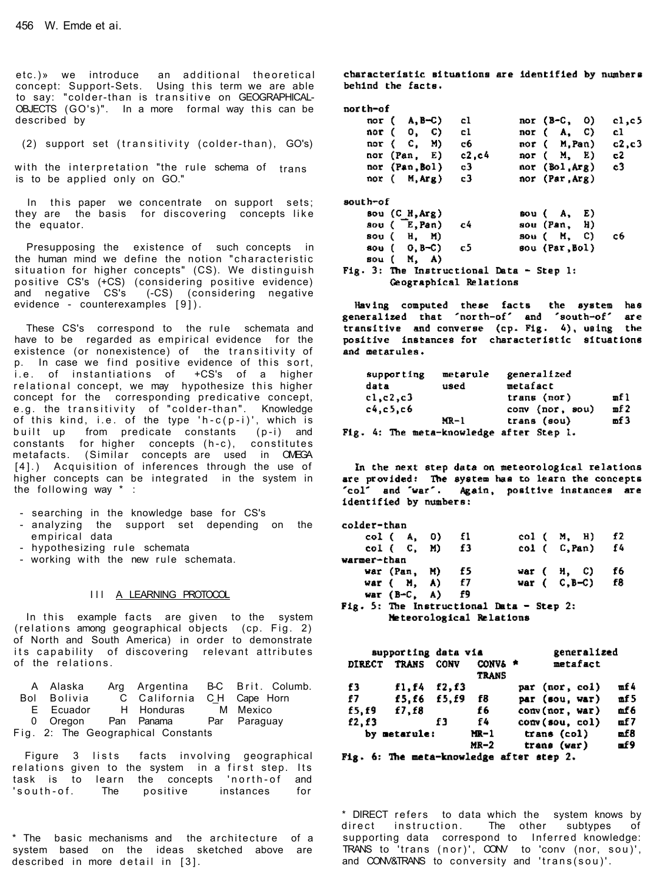etc.) we introduce an additional theoretical concept: Support-Sets. Using this term we are able to say: "colder-than is transitive on GEOGRAPHICAL-OBJECTS  $(GO's)$ ". In a more formal way this can be described by

 $(2)$  support set (transitivity (colder-than), GO's)

with the interpretation "the rule schema of trans is to be applied only on GO."

In this paper we concentrate on support sets; they are the basis for discovering concepts like the equator.

Presupposing the existence of such concepts in the human mind we define the notion "characteristic situation for higher concepts" (CS). We distinguish positive CS's (+CS) (considering positive evidence) and negative CS's (-CS) (considering negative evidence - counterexamples [9]) .

These CS's correspond to the rule schemata and have to be regarded as empirical evidence for the existence (or nonexistence) of the transitivity of p. In case we find positive evidence of this sort, i.e. of instantiations of +CS's of a higher relational concept, we may hypothesize this higher concept for the corresponding predicative concept, e.g. the transitivity of "colder-than". Knowledge of this kind, i.e. of the type 'h-c(p-i)', which is built up from predicate constants (p-i) and constants for higher concepts (h-c), constitutes metafacts. (Similar concepts are used in OMEGA [4].) Acquisition of inferences through the use of higher concepts can be integrated in the system in the following way \* :

- searching in the knowledge base for CS's
- analyzing the support set depending on the empirical data
- hypothesizing rule schemata
- working with the new rule schemata.

### III A LEARNING PROTOCOL

In this example facts are given to the system (relations among geographical objects (cp. Fig. 2) of North and South America) in order to demonstrate its capability of discovering relevant attributes of the relations.

| A Alaska    |                                    | Arg Argentina B-C Brit. Columb. |
|-------------|------------------------------------|---------------------------------|
| Bol Bolivia | C California CH Cape Horn          |                                 |
|             | E Ecuador H Honduras M Mexico      |                                 |
|             | 0 Oregon Pan Panama Par Paraguay   |                                 |
|             | Fig. 2: The Geographical Constants |                                 |

Figure 3 lists facts involving geographical relations given to the system in a first step. Its task is to learn the concepts 'north-of and 'south-of. The positive instances for

\* The basic mechanisms and the architecture of a system based on the ideas sketched above are described in more detail in  $[3]$ .

characteristic situations are identified by numbers behind the facts.

nor th-of

|          | $nor (A, B-C)$         | cl – | nor $(B-C, O)$                           | c1, c5 |
|----------|------------------------|------|------------------------------------------|--------|
|          | nor $(0, 0)$           | cl – | nor $(A, C)$                             | cl —   |
|          | nor ( C, M)            | c6 — | nor (M.Pan)                              | c2.c3  |
|          | nor $(Pan, E)$ $c2.c4$ |      | nor $(M, E)$                             | c2.    |
|          | nor $(Pan, Bol)$ $c3$  |      | nor (Bol, Arg)                           | c3.    |
|          | nor (M.Arg) c3         |      | nor (Par.Arg)                            |        |
| south-of |                        |      |                                          |        |
|          | Bou (C H, Arg)         |      | <b>BOU (A, E)</b>                        |        |
|          | sou $(E, Pen)$ $c4$    |      | sou (Pan, H)                             |        |
|          | sou (H.M)              |      | во <b>и (М.</b> С)                       | cб     |
|          | sou ( 0, B-C) c5       |      | sou (Par.Bol)                            |        |
|          | sou (M, A)             |      |                                          |        |
|          |                        |      | Fig. 3: The Instructional Data - Step 1: |        |
|          | Geographical Relations |      |                                          |        |

Having computed these facts the system<br>generalized that 'north-of' and 'south-of' ha s ar e transitive and converse (cp. Fig. 4), using the positive instances for characteristic situations and metarules.

| supporting                               | metarule | generalized     |      |
|------------------------------------------|----------|-----------------|------|
| data                                     | used     | metafact        |      |
| c1, c2, c3                               |          | trans (nor)     | mf 1 |
| c4. c5. c6                               |          | conv (nor, sou) | mf 2 |
|                                          | $MR-1$   | trans (sou)     | mf3  |
| Fig. 4: The meta-knowledge after Step 1. |          |                 |      |

In the next step data on meteorological relations are provided: The system has to learn the concepts 'col' and 'war'. Again, positive instances are identified by numbers:

| colder-than       |      |                     |  |
|-------------------|------|---------------------|--|
| col( A, 0)        | - 11 | $col(M, H)$ f2      |  |
| $col(C, M)$ f3    |      | $col (C, Pan)$ $f4$ |  |
| warmer-than       |      |                     |  |
| var(Pan, M)       | f5.  | war $( H, C)$ f6    |  |
| war $(M, A)$ f7   |      | war $(C, B-C)$ f8   |  |
| war $(B-C, A)$ f9 |      |                     |  |
|                   |      |                     |  |

Fig. 5: The Instructional Data - Step 2: Meteorological Relations

| supporting data via |              |       |                         | generalized                              |      |  |
|---------------------|--------------|-------|-------------------------|------------------------------------------|------|--|
| <b>DIRECT</b>       | <b>TRANS</b> | CONV  | CONV& *<br><b>TRANS</b> | metafact                                 |      |  |
| £3                  | f1.f4        | f2.f3 |                         | par (nor, col)                           | mf 4 |  |
| f7                  | f5.f6 f5.f9  |       | f8                      | par (sou, war)                           | mf 5 |  |
| f5.f9               | f7.f8        |       | f6                      | conv(nor, war)                           | mf 6 |  |
| f2, f3              |              | £3    | f4                      | conv(sou, col)                           | mf7  |  |
|                     | by metarule: |       | MR-1                    | trans (col)                              | mf8  |  |
|                     |              |       | $MR-2$                  | trans (war)                              | mf9  |  |
|                     |              |       |                         | 91. – A. Mka wana-baasindan afoan anaa 9 |      |  |

Fig. 6: The meta-knowledge after step 2.

\* DIRECT refers to data which the system knows by direct instruction. The other subtypes of supporting data correspond to Inferred knowledge: TRANS to 'trans (nor)',  $COMV$  to 'conv (nor, sou)', and CONV&TRANS to conversity and 'trans(sou)' .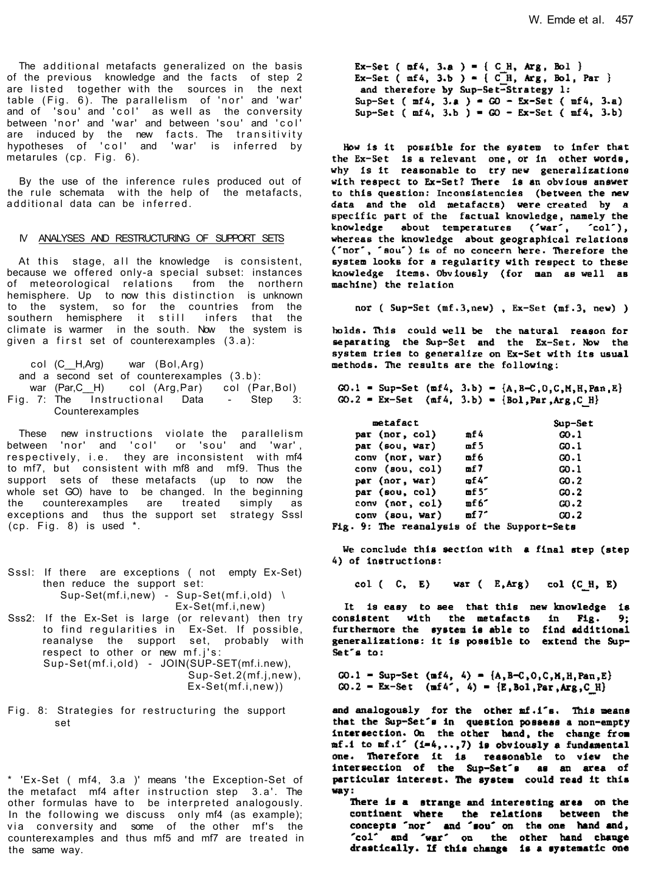The additional metafacts generalized on the basis of the previous knowledge and the facts of step 2 are listed together with the sources in the next  $table$  (Fig.  $6)$ . The parallelism of 'nor' and 'war' and of 'sou' and 'col' as well as the conversity between 'nor' and 'war' and between 'sou' and 'col' are induced by the new facts.The transitivity hypotheses of 'col' and 'war' is inferred by  $metarules$  (cp. Fig.  $6$ ).

By the use of the inference rules produced out of the rule schemata with the help of the metafacts, additional data can be inferred.

### IV ANALYSES AND RESTRUCTURING OF SUPPORT SETS

At this stage, all the knowledge is consistent, because we offered only-a special subset: instances of meteorological relations from the northern hemisphere. Up to now this distinction is unknown to the system, so for the countries from the southern hemisphere it still infers that the climate is warmer in the south. Now the system is given a first set of counterexamples  $(3.a)$ :

col (C\_\_H,Arg) war (Bol,Arg) and a second set of counterexamples (3.b): war (Par,C\_H) col (Arg,Par) col (Par,Bol)<br>. 7: The Instructional Data - Step 3: Fig. 7: The Instructional Data -Counterexamples

These new instructions violate the parallelism between 'nor' and 'col' or 'sou' and 'war', respectively, i.e. they are inconsistent with mf4 to mf7, but consistent with mf8 and mf9. Thus the support sets of these metafacts (up to now the whole set GO) have to be changed. In the beginning the counterexamples are treated simply as exceptions and thus the support set strategy Sssl (cp. Fig. 8) is used  $*$ .

- Sssl: If there are exceptions ( not empty Ex-Set) then reduce the support set: Sup-Set(mf.i,new) - Sup-Set(mf.i,old) \
- Ex-Set(mf.i,new) Sss2: If the Ex-Set is large (or relevant) then try to find regularities in Ex-Set. If possible, reanalyse the support set, probably with respect to other or new mf.j's : Sup-Set(mf.i,old) - JOIN(SUP-SET(mf.i.new), Sup-Set.2(mf.j,new), Ex-Set(mf.i,new))
- Fig. 8: Strategies for restructuring the support set

\* 'Ex-Set ( mf4, 3.a )' means 'the Exception-Set of the metafact  $mf4$  after instruction step  $3.a'$ . The other formulas have to be interpreted analogously. In the following we discuss only mf4 (as example); via conversity and some of the other mf's the counterexamples and thus mf5 and mf7 are treated in the same way.

Ex-Set ( $mf4, 3.a$ ) = { $CH, Arg, Bol$ } Ex-Set (  $mf4$ , 3.b ) = { $C[H, Arg, Bol, Par$ } and therefore by Sup-Set-Strategy 1: Sup-Set  $(\text{mf }4, 3.\text{a}) = GO - Ex-Set$  (mf4, 3.a) Sup-Set  $(\text{mf } 4, 3.6) = GO - Ex-Set (\text{mf } 4, 3.6)$ 

How is it possible for the system to infer that the Ex-Set is a relevant one, or in other words,<br>why is it reasonable to try new generalizations<br>with respect to Ex-Set? There is an obvious answer to this question: Inconsistencies (between the new data and the old metafacts) were created by a specific part of the factual knowledge, namely the knowledge about temperatures ('war', 'col'), whereas the knowledge about geographical relations ('nor', 'sou') is of no concern here. Therefore the system looks for a regularity with respect to these knowledge items. Obviously (for man as well as machine) the relation

nor (Sup-Set (mf.3,new), Ex-Set (mf.3, new))

holds. This could well be the natural reason for separating the Sup-Set and the Ex-Set. Now the system tries to generalize on Ex-Set with its usual methods. The results are the following:

 $GO.1 = Sup-Set (mf4, 3.b) = {A, B-C, 0, C, M, H, Pan, E}$ <br> $GO.2 = Ex-Set (mf4, 3.b) = {Bo1, Par, Arg, C H}$ 

| metafact        |       | Sup-Set    |
|-----------------|-------|------------|
| par (nor, col)  | mf 4  | $\infty.1$ |
| par (sou, war)  | mf 5  | GO.1       |
| conv (nor, war) | m.f6  | GO.1       |
| conv (sou, col) | mf 7  | 0.1        |
| par (nor, war)  | mf 4″ | GO.2       |
| par (sou, col)  | mf 5″ | CO.2       |
| conv (nor, col) | mf6″  | $CO-2$     |
| conv (sou, war) | mf 7″ | CO.2       |
|                 |       |            |

Fig. 9: The reanalysis of the Support-Sets

We conclude this section with a final step (step 4) of instructions:

 $var$  (  $E, Arg$  )  $col(C, E)$ col  $(C H, E)$ 

It is easy to see that this new knowledge is consistent with the metafacts in Fig. 9; furthermore the system is able to find additional generalizations: it is possible to extend the Sup-Set<sup>e</sup>s to:

 $GO.1 = Sup-Set (mf4, 4) = {A, B-C, O, C, M, H, Pan, E}$  $GO.2 = Ex-Set$  (mf4', 4) = {E, Bol, Par, Arg, C H}

and analogously for the other mf. i's. This means that the Sup-Set's in question possess a non-empty intersection. On the other hand, the change from mf.1 to mf.1' (1-4, ... 7) is obviously a fundamental one. Therefore it is reasonable to view the intersection of the Sup-Set's as an area of particular interest. The system could read it this way:

There is a strange and interesting area on the continent where the relations between the concepts 'nor' and 'sou' on the one hand and, 'col' and 'war' on the other hand change drastically. If this change is a systematic one